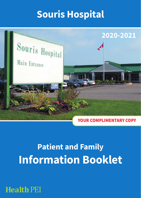# **Souris Hospital**



# **Patient and Family Information Booklet**

## **Health PEI**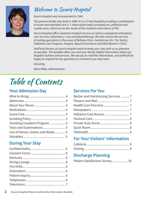

## Welcome to Souris Hospital

*Souris Hospital was incorporated in 1945.* 

*The present facility was built in 1988. It is a 17 bed hospital providing a combination of acute and extended care (+ 1 observation bed) (convalescent, palliative and respite care), which serves the needs of the residents and visitors of PEI.*

*Souris Hospital offers inpatient medical services as well as outpatient ambulatory care services, laboratory, x-ray and physiotherapy. We also receive the services of visiting specialists in the areas of Beltone Clinic, Geriatrician (Dr. Tim Stultz), Palliative Care Program, Hospice, Wound Care Nurse and Well Women's Clinic.*

*Staff and Doctors at Souris Hospital want to make your stay with us as pleasant as possible. This booklet offers you and your family helpful information about our hospital routines and services. We ask you to read the information, and staff will be happy to respond to any questions or comments you may have.*

*Sincerely,*

*Edna Miller, Administrator*

# Table of Contents

#### **Your Admission Day**

| Smoking Cessation Program  5     |  |
|----------------------------------|--|
|                                  |  |
| Use of Gloves, Gowns and Masks 5 |  |
|                                  |  |
|                                  |  |

#### **During Your Stay**

#### **Services For You**

| Barber and Hairdressing Services  7 |  |
|-------------------------------------|--|
|                                     |  |
|                                     |  |
|                                     |  |
|                                     |  |
|                                     |  |
|                                     |  |
|                                     |  |
|                                     |  |
|                                     |  |

#### **For Your Visitors' Information**

#### **Discharge Planning**

| Patient Satisfaction Survey 10 |  |
|--------------------------------|--|
|                                |  |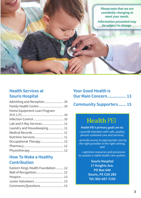*Please note that we are constantly changing to meet your needs. Information presented may be subject to change.*

#### **Health Services at Souris Hospital**

| Admitting and Reception  10 |  |
|-----------------------------|--|
| Family Health Centre 10     |  |
| Home Equipment Loan Program |  |
|                             |  |
|                             |  |
| Lab and X-Ray Services  11  |  |
| Laundry and Housekeeping 11 |  |
|                             |  |
|                             |  |
| Occupational Therapy 12     |  |
|                             |  |
|                             |  |

#### **How To Make a Healthy Contribution**

| Eastern Kings Health Foundation 12 |  |
|------------------------------------|--|
|                                    |  |
|                                    |  |
|                                    |  |
| Comments/Questions 13              |  |

| <b>Your Good Health is</b>     |  |
|--------------------------------|--|
| <b>Our Main Concern 13</b>     |  |
| <b>Community Supporters 15</b> |  |

## **Health PEI**

**Health PEI's primary goals are to: Health PEI's primary goals are to:<br>• provide Islanders with safe, quality,** person-centered care and services;

 • provide access to appropriate care by the right provider in the right setting; and

 • optimize resources and processes to sustain a viable health care system.

> **Souris Hospital 17 Knights Ave. PO Box 640 Souris, PE C0A 2B0 Tel: 902-687-7150**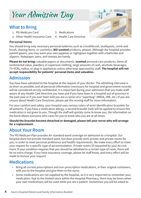## Your Admission Day

#### **What to Bring**

- 1. PEI Medicare Card 3. Medications
- 2. Other Health Insurance Card 4. Health Care Directive
- 
- 

#### **Personal Items**

You should bring only necessary personal toiletries such as a toothbrush, toothpaste, comb and brush, shaving items, or cosmetics (**NO scented** products, please). Although the hospital provides patient gowns, you may want your own pyjamas or nightgown together with a bathrobe and slippers. Notepaper, pens, and stamps are handy.

**Please do not bring:** valuable papers or documents, **scented** personal care products, items of sentimental value, jewellery or expensive clothing, large amounts of cash, alcoholic beverages, TV-VCRs, radios, or plug-in appliances unless otherwise approved by staff. **The hospital will not accept responsibility for patients' personal items and valuables.**

#### **Admission**

You have been admitted to the hospital at the request of your doctor. The admitting interview is as short as possible, and all personal information (necessary for hospital and government records) will be considered strictly confidential. It is important during your admission that you make staff aware of any Health Care Directive you have and if you have been in a hospital out-of-province in the past year or if you ever been told you are a carrier of a "superbug" (MRSA, VRE, etc.) If you are unsure about Health Care Directives, please ask the nursing staff for more information.

For your comfort and safety, your hospital uses various colors of wrist identification bracelets for all patients. If you have a medication allergy, a second bracelet (red) will be applied to ensure this medication is not given to you. Though the staff will quickly come to know you, the information on the band allows everyone who cares for you to know who you are at all times.

**Should the bracelet become detached or damaged, please tell your nurse who will arrange for a replacement.**

#### **About Your Room**

The PEI Medicare Plan provides for standard ward coverage on admission to a hospital. Our hospital does not provide standard ward, but does provide semi-private and private rooms for you, in order to meet personal preference and health requirements. We make every effort to meet your request for a specific type of accommodation. Private rooms (if requested by you) do cost more. If your condition requires that you should be admitted to a certain type of room, there will be no extra charge. If you have insurance coverage, please let staff know, and every effort will be made to honour your request

#### **Medications**

- Bring all current prescriptions and non-prescription medications, in their original containers, with you to the hospital and give them to the nurse.
- Some medications are not supplied by the hospital, so it is very important to remember your medication. Due to the limited stock within the Hospital Pharmacy, there may be times when your own medications will be used while you are a patient. Sometimes you will be asked to

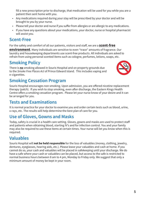fill a new prescription prior to discharge, that medication will be used for you while you are a patient then sent home with you.

- Any medications required during your stay will be prescribed by your doctor and will be brought to you by your nurse.
- Please tell your doctor and nurse if you suffer from allergies or are allergic to any medications.
- If you have any questions about your medications, your doctor, nurse or hospital pharmacist will assist you.

#### **Scent-Free**

For the safety and comfort of all our patients, visitors and staff, we are a **scent-free**

**environment**. Many individuals are sensitive to even "trace" amounts of fragrance. Our laundry and housekeeping departments use scent-free products. All individuals are asked to refrain from using personal scented items such as cologne, perfumes, lotions, soaps, etc.

### **Smoking Policy**

There is **no** smoking allowed in Souris Hospital and on property grounds due to the *Smoke Free Places Act* of Prince Edward Island. This includes vaping and e-cigarettes.



#### **Smoking Cessation Program**

Souris Hospital encourages non smoking. Upon admission, you are offered nicotine replacement therapy (patch). If you wish to stop smoking, even after discharge, the Eastern Kings Health Centre offers a smoking cessation program. Please let your nurse know of your desire and it can be arranged for you.

### **Tests and Examinations**

It is normal practice for your doctor to examine you and order certain tests such as blood, urine, x-rays, etc. The results will help determine the best plan of care for you.

#### **Use of Gloves, Gowns and Masks**

Today, safety is crucial in a health care setting. Gloves, gowns and masks are used to protect staff and patients when obtaining blood, starting IV's and for infection control. You and your family may also be required to use these items at certain times. Your nurse will let you know when this is required.

## **Valuables**

Souris Hospital will **not be held responsible** for the loss of valuables (money, clothing, jewelry, dentures, eyeglasses, hearing aids, etc.). Please leave your valuables and cash at home. If you cannot do so, your cash and valuables will be placed in safekeeping until your discharge. We do have a safe where your cash or valuables can be placed, but access to the safe is restricted to normal business hours between 8 am to 4 pm, Monday to Friday only. We suggest that only a minimum amount of money be kept in your room.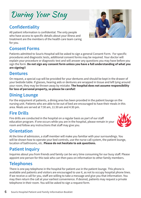## **6 Souris Hospital Patient and Family Information Booklet**

#### **Confidentiality**

All patient information is confidential. The only people who have access to specific details about your illness and treatment are the members of the health care team caring for you.

#### **Consent Forms**

Patients admitted to Souris Hospital will be asked to sign a general Consent Form. For specific procedures and diagnostic tests, additional consent forms may be required. Your doctor will explain your procedure or diagnostic test and will answer any questions you may have before you sign the form. **Do not sign any consent form unless you have a full understanding of what you are signing!!**

#### **Dentures**

On request, a special cup will be provided for your dentures and should be kept in the drawer of your bedside table. If glasses, hearing aids or dentures are wrapped in tissue and left lying around your room, they may be thrown away by mistake. **The hospital does not assume responsibility for loss of personal property, so please be careful!**

#### **Dining Lounge**

For the enjoyment of patients, a dining area has been provided in the patient lounge on the nursing unit. Patients who are able to be out of bed are encouraged to have their meals in this area. Meals are served at 7:30 am, 11:30 am and 4:30 pm.

#### **Fire Drills**

Fire drills are conducted in the hospital on a regular basis as part of our staff education program. If one occurs while you are in the hospital, please remain in your room and follow any instructions that staff may give you.

#### **Orientation**

At the time of admission, a staff member will make you familiar with your surroundings. You will be shown how to operate your bed controls, use the nurse call system, the patient lounge, location of bathrooms, etc. **Please do not hesitate to ask questions.**

## **Patient Inquiry**

Inquiries about you from friends and family can be very time consuming for our busy staff. Please appoint one person for this task who can then pass on information to other family members.

#### **Telephones**

There is one pay telephone in the hospital for patient use in the patient lounge. This phone is available and patients and visitors are encouraged to use it, as not to occupy hospital phone lines. If we receive a call for you, staff are willing to take a message and give you that information. You may then return the call at your earliest convenience. If desired, patients may request a private telephone in their room. You will be asked to sign a request form.





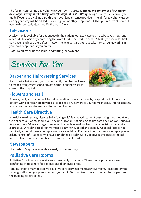The fee for connecting a telephone in your room is \$**10.00. The daily rate, for the first thirty days of your stay, is \$3.99/day. After 30 days , it is \$2.00/day.** Long distance calls can only be made if you have a calling card through your long distance provider. The bill for telephone usage during your stay will be added to your regular monthly telephone bill that you receive at home. If you are interested, please notify the Ward Clerk.

#### **Televisions**

A television is available for patient use in the patient lounge. However, if desired, you may rent a bedside television by contacting the Ward Clerk. The start up cost is \$12.00 (this includes first day's use). Each day thereafter is \$7.00. The headsets are yours to take home. You may bring in your own ear phones if you prefer.

Note: Debit machine available in admitting for payment.



#### **Barber and Hairdressing Services**

If you desire hairstyling, you or your family members will need to make arrangements for a private barber or hairdresser to come to the hospital.

#### **Flowers and Mail**



Flowers, mail, and parcels will be delivered directly to your room by hospital staff. If there is a patient with allergies you may be asked to send any flowers to your home instead. After discharge, all mail will be readdressed and forwarded to you.

#### **Health Care Directive**

A health care directive, often called a "living will", is a legal document describing the amount and type of care you want, should you become incapable of making health care decisions on your own. Anyone who is 16 years of age or older and capable of making health care decisions can make a directive. A health care directive must be in writing, dated and signed. A special form is not required, although several sample forms are available. For more information or a sample, please ask nursing staff. Patients who have completed a Health Care Directive may contact Medical Records to ensure your Directive is on your medical chart.

#### **Newspapers**

The Eastern Graphic is available weekly on Wednesdays.

#### **Palliative Care Rooms**

Palliative Care Rooms are available to terminally ill patients. These rooms provide a warm comforting atmosphere for patients and their loved ones.

Families of patients who receive palliative care are welcome to stay overnight. Please notify the nursing staff when you plan to extend your visit. We must keep track of the number of persons in the building for fire safety.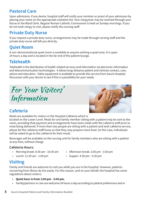#### **Pastoral Care**

Upon admission, if you desire, hospital staff will notify your minister or priest of your admission by placing your name on the appropriate visitation list. Your clergyman may be reached through your Nurse or the Ward Clerk. Regular Roman Catholic Communion is held on Sunday mornings. If you do not wish clergy to visit, please notify the nursing staff.

#### **Private Duty Nurse**

If you request a private duty nurse, arrangements may be made through nursing staff and the private duty nurse will bill you directly.

#### **Quiet Room**

A non-denominational quiet room is available to anyone wishing a quiet area. It is open 24 hours a day and is located in the far end of the patient lounge.

#### **Telehealth**

Telehealth is the distribution of health-related services and information via electronic information and telecommunication technologies. It allows long-distance patient and clinician contact, care, advice and education. Video equipment is available to provide this service from Souris Hospital. Discussion with your doctor to see if this is a possibility for your needs.





#### **Cafeteria**

Meals are available for visitors in the Hospital Cafeteria which is

located on the Lower Level. Meals for one family member sitting with a patient may be sent to the room, providing that payment and arrangements have been made with the cafeteria staff prior to meal being delivered. If more than two people are sitting with a patient and wish cafeteria service, please let the cafeteria staff know so that they may prepare more food. (In this case, individuals will be asked to go to the cafeteria for their meal).

Beverages will be available on the nursing unit for family members who are sitting with a patient at any time, without charge.

#### **Cafeteria Hours:**

- 
- Morning break: 8:30 am 10:30 am Afternoon break: 2:00 pm 3:30 pm
- Lunch: 11:30 am 1:00 pm Supper: 4:30 pm 5:30 pm
- 

#### **Visiting**

Family and friends are welcome to visit you while you are in the hospital. However, patients recovering from illness do tire easily. For this reason, and on your behalf, the hospital has some regulations about visitors.

- **• Quiet hour is from 1:00 pm 2:00 pm.**
- Family/partners in care are welcome 24 hours a day according to patient preferences and in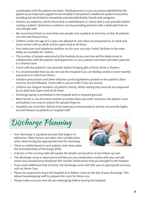coordination with the patient care team. Family/partners in care are anyone identified by the patient as an important support to be included in the patient's healthcare system encounters, including but not limited to immediate and extended family, friends and caregivers.

- Visitiors are asked to call the front desk or switchboard, or check with a care provider before visiting a patient. Quiet hours enhance care by providing patients with a dedicated time to rest and get well.
- We recommend that no more than two people visit a patient at one time so that all patients can rest and have privacy.
- Children under the age of 12 years are allowed to visit when accompanied by an adult and must remain with an adult and be supervised at all times.
- Your bathroom and telephone facilities are for your use only. Public facilities in the main lobby are available for visitors.
- The number of people welcomed at the bedside at any one time will be determined in collaboration with the patient, family/partners in care, patient care team and other patients in a shared room.
- Check with the patient's care provider before bringing gifts of food, drink or flowers.
- It is recommended that you do not visit the hospital if you are feeling unwell or were recently exposed to an infectious illness.
- Isolation precautions and other infection control guidelines posted on the patient's door must be strictly followed. Check with a care provider if you are unsure.
- Children are integral members of patient's family. While visiting they must be accompanied by an adult and supervised at all times.
- Smoking/vaping is prohibited in the hospital and on hospital grounds.
- Wash hands or use the hand sanitizer provided when you enter and leave the patient room and patient care area to reduce the spread of germs.
- Hospitals are scent-free. Refrain from wearing scented products and do not provide highly scented flowers to patients or hospital staff.

Discharge Planning

- Your discharge is a gradual process that begins on admission. Many factors are taken into consideration when determining the appropriate time for discharge.
- There is a white board in each patient room that states the Estimated Date of Discharge (EDD).



- A doctor or the nursing staff will explain the details and location of any follow-up care.
- The discharge nurse or pharmacist will discuss your medication routine with you and will return any unused prescribed/over the counter medications that you brought to the hospital.
- If you need additional help at home, the discharge nurse will refer you to appropriate services, such as Home Care.
- Please be prepared to leave the hospital at or before 11am on the day of your discharge. This allows housekeeping staff to prepare the room for future use.
- Please make sure you have all your belongings before leaving the hospital.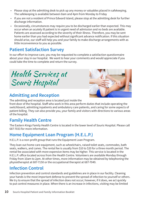- Please stop at the admitting desk to pick up any money or valuables placed in safekeeping. The safekeeping is available between 8am and 4pm from Monday to Friday
- If you are not a resident of Prince Edward Island, please stop at the admitting desk for further discharge information.
- Occasionally, circumstances may require you to be discharged earlier than expected. This may occur when an acutely ill patient is in urgent need of admission and no beds are available. Patients are assessed according to the severity of their illness. Therefore, you may be sent home earlier than you had expected without significant advance notification. If this situation should arise, our staff will help you and your family to make discharge arrangements with as little inconvenience to you as possible.

#### **Patient Satisfaction Survey**

In our effort to improve care, you may be requested to complete a satisfaction questionnaire about your stay in our hospital. We want to hear your comments and would appreciate if you could take the time to complete and return the survey.

Health Services at Souris Hospital



#### **Admitting and Reception**

The admitting and reception area is located just inside the

front door of the hospital. Staff who work in this area perform duties that include operating the switchboard, admitting inpatients and ambulatory care patients, and caring for some aspects of patient billing. They can also provide you, your family and visitors with directions to various areas of the hospital.

#### **Family Health Centre**

The Eastern Kings Family Health Centre is located in the lower level of Souris Hospital. Please call 687-7033 for more information.

#### **Home Equipment Loan Program (H.E.L.P.)**

H.E.L.P. is a non-profit group that runs the Equipment Loan Program.

They loan out home care equipment, such as wheelchairs, raised toilet seats, commodes, bath seats, walkers, and canes. The rental fee is usually from \$10 to \$20 for a three month period. The rental fee associated with more expensive items may be higher. This service is located in the H.E.L.P. office located across from the Health Centre. Volunteers are available Monday through Friday from 10am to 2pm. At other times, more information may be obtained by telephoning the physiotherapist at 687-7150 or the occupational therapist at 687-7049.

### **Infection Control**

Infection prevention and control standards and guidelines are in place in our facility. Cleaning your hands is the most important defense to prevent the spread of infection to yourself or others. We try to ensure that the spread of infection does not occur; however, if it does, we act quickly to put control measures in place. When there is an increase in infections, visiting may be limited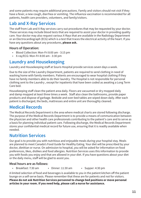and some patients may require additional precautions. Family and visitors should not visit if they have a fever, a new cough, diarrhea or vomiting. The influenza vaccination is recommended for all patients, health care providers, volunteers, and family/visitors.

### **Lab and X-Ray Services**

The staff from Lab and X-Ray services carry out procedures that may be requested by your doctor. These services may include blood tests that are required to assist your doctor in providing quality care. Your doctor may also request various X-Rays that are available in the Radiology Department or an Electrocardiograph (ECG) which is a test that traces the electrical activity of the heart. If you have any questions about any procedures, **please ask.**

#### **Hours of Operation:**

- Blood Collection: Mon-Fri 8:00 am 3:15 pm
- X-ray/ECG: Mon-Fri 8:00 am 3:30 pm

### **Laundry and Housekeeping**

Laundry and Housekeeping staff at Souris Hospital provide services seven days a week.

Due to the size of the Laundry Department, patients are required to send clothing in need of washing home with family members. Patients are encouraged to wear hospital clothing if they have no family members able to do their laundry. The Hospital is not responsible for personal clothing sent to the Laundry , except for inpatients that have been coded as awaiting a Long Term Care bed.

Housekeeping staff clean the patient area daily. Floors are vacuumed or dry mopped daily and damp mopped at least three times a week. Staff also clean the bathrooms, provide paper products and dispose of garbage. Bedside and over-bed tables are wiped down daily. After each patient is discharged, the beds, mattresses and entire unit are thoroughly cleaned.

### **Medical Records**

The Medical Records Department is the area where medical charts are stored following discharge. The purpose of the Medical Records Department is to provide a means of communication between the physician and other health care professionals contributing to the patient's care and to serve as a basis for planning individual patient care. Following discharge, the Medical Records Department stores your confidential medical record for future use, ensuring that it is readily available when needed.

#### **Nutrition Services**

Our goal is to provide you with nutritious and enjoyable meals during your hospital stay. Meals are planned to meet Canada's Food Guide for Healthy Eating. Your diet will be prescribed by your doctor, dietitian or nurse. On admission to hospital, you will be asked for information on food preferences, likes, dislikes and food allergies. Nutrition Services uses this information to provide you with foods you enjoy and that are allowed in your diet. If you have questions about your diet or the daily menu, staff will be glad to assist you.

#### **Meal hours are as follows:**

• Breakfast: 7:30 am • Dinner: 11:30 am • Supper: 4:30 pm

A limited selection of food and beverages is available to you in the patient kitchen off the patient lounge on a self-serve basis. Please remember that these are for patients and not for visitors. **Please do not ask Nutrition Services personnel to change bed positions or move personal articles in your room. If you need help, please call a nurse for assistance.**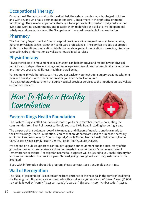#### **Occupational Therapy**

Occupational Therapists work with the disabled, the elderly, newborns, school-aged children, and with anyone who has a permanent or temporary impairment in their physical or mental functioning . The aim of occupational therapy is to help the client to perform daily tasks in their living and working environments, and to assist them to develop the skills to live independent, satisfying and productive lives. The Occupational Therapist is available for consultation.

#### **Pharmacy**

The Pharmacy Department at Souris Hospital provides a wide range of services to inpatients, nursing, physicians as well as other Health Care professionals. The services include but are not limited to a traditional medication distribution system, patient medication counseling, discharge counseling, drug information as well as various clinical services.

#### **Physiotherapy**

Physiotherapists are movement specialists that can help improve and maintain your physical mobility and independence, manage and reduce pain or disabilities that may limit your activities and improve your overall fitness, health and well being.

For example, physiotherapists can help you get back on your feet after surgery, treat muscle/joint pain and assist you with rehabilitation after you have been ill or injured.

The physiotherapy department at Souris Hospital provides services to the inpatient unit as well as outpatient services.

How To Make a Healthy Contribution



## **Eastern Kings Health Foundation**

The Eastern Kings Health Foundation is made up of a nine member board representing the communities from East Point west to Morell, south to Little Pond including bordering areas.

The purpose of this volunteer board is to manage and disperse financial donations made to the Eastern Kings Health Foundation. Monies that are donated are used to purchase necessary equipment and resources for Souris Hospital, Colville Manor, Mental Health/Addictions, Home Care, Eastern Kings Family Health Centre, Public Health, Souris Dialysis.

We depend on public support to continually upgrade our equipment and facilities. Many of the gifts of money which we receive are donations made in another person's name as a form of remembrance or tribute. A receipt for income tax purposes will be issued to you each February for all donations made in the previous year. Planned giving through wills and bequests can also be arranged.

If you wish information about this program, please contact Rose MacDonald at 687-7150.

### **Wall of Recognition**

The "Wall of Recognition" is located at the front entrance of the hospital in the corridor leading to the Nursing Unit. Donations are recognized on this wall once you receive the "Friend" level (\$1,000 - 2,499) followed by "Family" (\$2,500 - 4,999), "Guardian" (\$5,000 - 7,499), "Ambassador" (\$7,500 -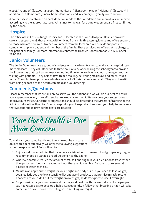9,999), "Founder" (\$10,000 - 24,999), "Humanitarian" (\$25,000 - 49,999), "Visionary" (\$50,000 +) in addition to In Memoriam (funeral home donations) and In Memory Of (family contribution).

A donor base is maintained on each donation made to the Foundation and individuals are moved accordingly to the appropriate level. All listings to the wall for acknowledgment are first confirmed by the donor.

#### **Hospice**

The office of the Eastern Kings Hospice Inc. is located in the Souris Hospital. Hospice provides care and support to all those living with or dying from a life threatening illness and offers support to those who are bereaved. Trained volunteers from the local area will provide support and companionship to a patient and member of the family. These services are offered at no charge to the patient or family. For more information contact the Hospice Coordinator at 687-1207 or cell 215-0286.

#### **Junior Volunteers**

The Junior Volunteers are a group of students who have been trained to make your hospital stay more pleasant. They volunteer two to three hours every week during the school year to provide the little extras that staff sometimes cannot find time to do, such as reading, running errands and visiting with patients. They help staff with bed making, delivering meal trays and much, much more. The volunteers provide a valuable service to Souris patients and staff. They also benefit from being exposed to the health care field and volunteering.

#### **Comments/Questions**

Please remember that we are all here to serve you the patient and we will do our best to ensure you a speedy recovery in an efficient but relaxed environment. We welcome your suggestions to improve our service. Concerns or suggestions should be directed to the Director of Nursing or the Administrator of the Hospital. Souris Hospital is your Hospital and we need your help to make sure that we continue to provide the best care possible.

## Your Good Health is Our Main Concern



To maintain your good health and to ensure our health care dollars are spent effectively, we offer the following suggestions to help keep you out of Souris Hospital:

- 1. Enjoy a well-balanced diet that includes a variety of food from each food group every day, as recommended by Canada's Food Guide to Healthy Eating.
- 2. Wherever possible reduce the amount of fat, salt and sugar in your diet. Choose fresh rather than processed foods and eat more foods that are high in fibre. Be sure to drink several glasses of water each day.
- 3. Maintain an appropriate weight for your height and body build. If you need to lose weight, set a realistic goal. Follow a sensible diet and avoid products that promise miracle results. Chances are you didn't put the weight on overnight, so don't expect to lose it overnight.
- 4. Stop smoking for your own sake and for the good health of those around you. Some people say it takes 28 days to develop a habit. Consequently, it follows that breaking a habit will take some time as well. Don't expect to give up smoking overnight.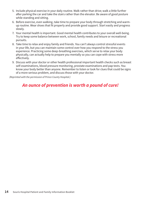- 5. Include physical exercise in your daily routine. Walk rather than drive; walk a little further after parking the car and take the stairs rather than the elevator. Be aware of good posture while standing and sitting.
- 6. Before exercise, even walking, take time to prepare your body through stretching and warmup routine. Wear shoes that fit properly and provide good support. Start easily and progress slowly.
- 7. Your mental health is important. Good mental health contributes to your overall well-being. Try to keep some balance between work, school, family needs and leisure or recreational pursuits.
- 8. Take time to relax and enjoy family and friends. You can't always control stressful events in your life, but you can maintain some control over how you respond to the stress you experience. Practicing some deep-breathing exercises, which serve to relax your body physically, can actually help to prepare you mentally so you can cope with stress more effectively.
- 9. Discuss with your doctor or other health professional important health checks such as breast self-examinations, blood pressure monitoring, prostate examinations and pap tests. You know your body better than anyone. Remember to listen or look for clues that could be signs of a more serious problem, and discuss those with your doctor.

*(Reprinted with the permission of Prince County Hospital.)*

#### *An ounce of prevention is worth a pound of cure!*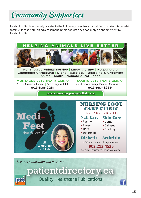Community Supporters

Souris Hospital is extremely grateful to the following advertisers for helping to make this booklet possible. Please note, an advertisement in this booklet does not imply an endorsement by Souris Hospital.





#### CARE CLINIC Nail Care Skin Care • Corns FEET ARE FOR LIFE!

- Ingrown
- Fungal • Hard
- Calluses • Cracking
- Deformed

#### Diabetic Arthritic

**902.213.4535** *Clinic and house call appointments*

*See this publication and more at:*